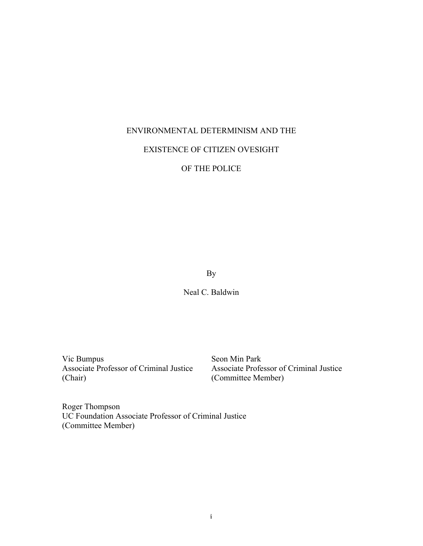# ENVIRONMENTAL DETERMINISM AND THE

## EXISTENCE OF CITIZEN OVESIGHT

OF THE POLICE

By

Neal C. Baldwin

Vic Bumpus Seon Min Park (Chair) (Committee Member)

Associate Professor of Criminal Justice Associate Professor of Criminal Justice

Roger Thompson UC Foundation Associate Professor of Criminal Justice (Committee Member)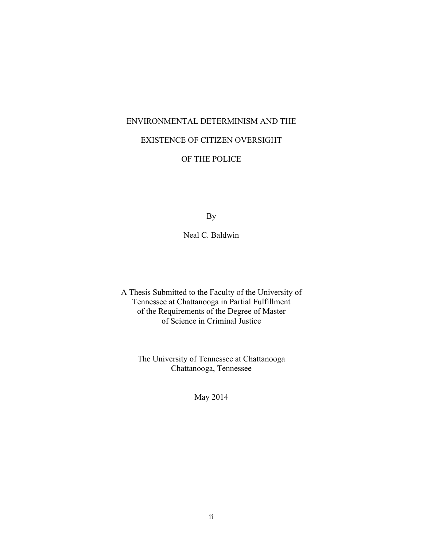## ENVIRONMENTAL DETERMINISM AND THE

# EXISTENCE OF CITIZEN OVERSIGHT

## OF THE POLICE

By

Neal C. Baldwin

A Thesis Submitted to the Faculty of the University of Tennessee at Chattanooga in Partial Fulfillment of the Requirements of the Degree of Master of Science in Criminal Justice

The University of Tennessee at Chattanooga Chattanooga, Tennessee

May 2014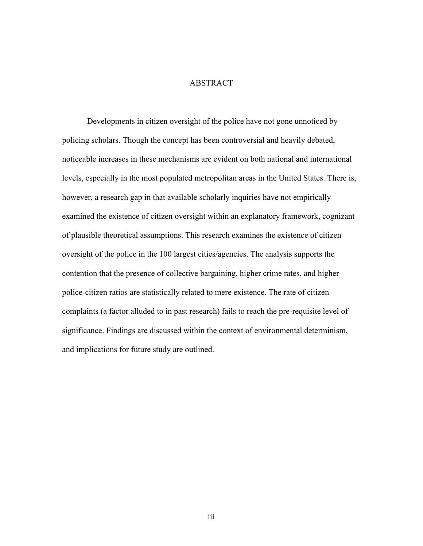## ABSTRACT

Developments in citizen oversight of the police have not gone unnoticed by policing scholars. Though the concept has been controversial and heavily debated, noticeable increases in these mechanisms are evident on both national and international levels, especially in the most populated metropolitan areas in the United States. There is, however, a research gap in that available scholarly inquiries have not empirically examined the existence of citizen oversight within an explanatory framework, cognizant of plausible theoretical assumptions. This research examines the existence of citizen oversight of the police in the 100 largest cities/agencies. The analysis supports the contention that the presence of collective bargaining, higher crime rates, and higher police-citizen ratios are statistically related to mere existence. The rate of citizen complaints (a factor alluded to in past research) fails to reach the pre-requisite level of significance. Findings are discussed within the context of environmental determinism, and implications for future study are outlined.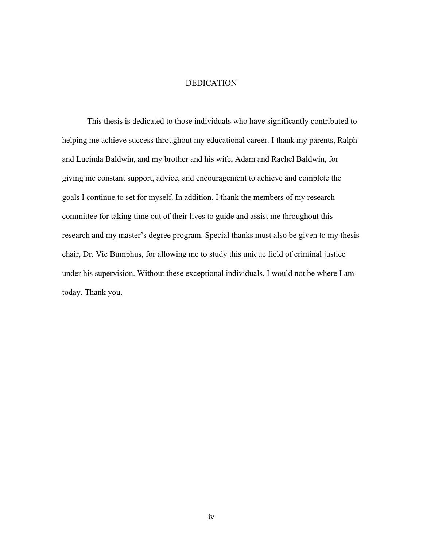## DEDICATION

This thesis is dedicated to those individuals who have significantly contributed to helping me achieve success throughout my educational career. I thank my parents, Ralph and Lucinda Baldwin, and my brother and his wife, Adam and Rachel Baldwin, for giving me constant support, advice, and encouragement to achieve and complete the goals I continue to set for myself. In addition, I thank the members of my research committee for taking time out of their lives to guide and assist me throughout this research and my master's degree program. Special thanks must also be given to my thesis chair, Dr. Vic Bumphus, for allowing me to study this unique field of criminal justice under his supervision. Without these exceptional individuals, I would not be where I am today. Thank you.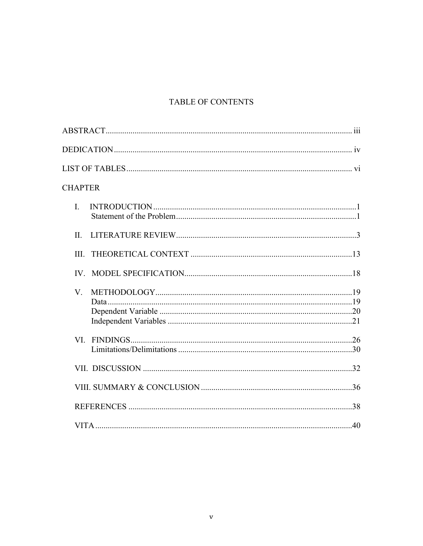# TABLE OF CONTENTS

| <b>CHAPTER</b> |  |
|----------------|--|
| $\mathbf{I}$   |  |
| $\Pi$ .        |  |
| III.           |  |
|                |  |
| $V_{\cdot}$    |  |
|                |  |
|                |  |
|                |  |
|                |  |
|                |  |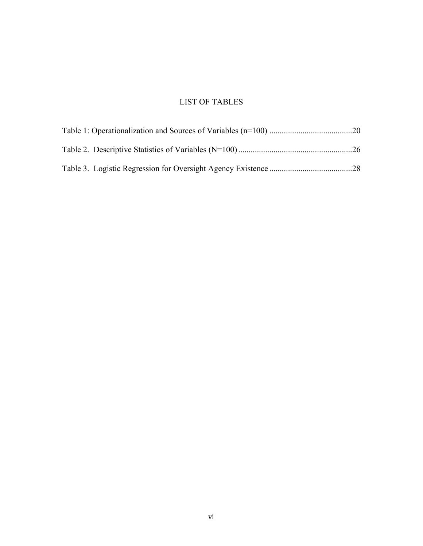# LIST OF TABLES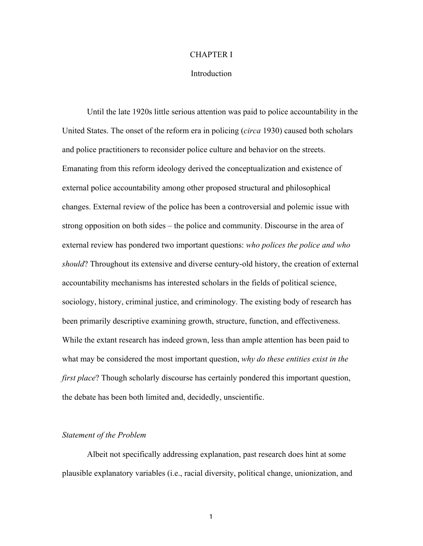## CHAPTER I

### Introduction

Until the late 1920s little serious attention was paid to police accountability in the United States. The onset of the reform era in policing (*circa* 1930) caused both scholars and police practitioners to reconsider police culture and behavior on the streets. Emanating from this reform ideology derived the conceptualization and existence of external police accountability among other proposed structural and philosophical changes. External review of the police has been a controversial and polemic issue with strong opposition on both sides – the police and community. Discourse in the area of external review has pondered two important questions: *who polices the police and who should*? Throughout its extensive and diverse century-old history, the creation of external accountability mechanisms has interested scholars in the fields of political science, sociology, history, criminal justice, and criminology. The existing body of research has been primarily descriptive examining growth, structure, function, and effectiveness. While the extant research has indeed grown, less than ample attention has been paid to what may be considered the most important question, *why do these entities exist in the first place*? Though scholarly discourse has certainly pondered this important question, the debate has been both limited and, decidedly, unscientific.

### *Statement of the Problem*

Albeit not specifically addressing explanation, past research does hint at some plausible explanatory variables (i.e., racial diversity, political change, unionization, and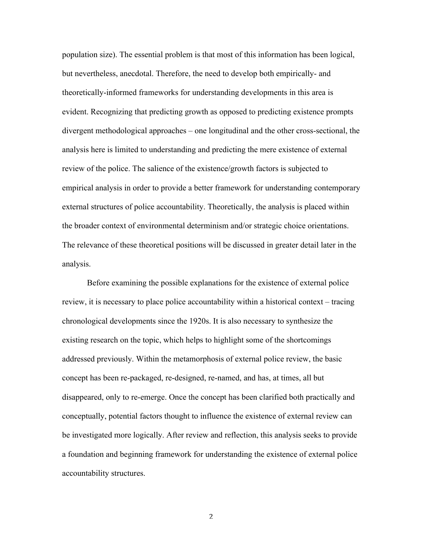population size). The essential problem is that most of this information has been logical, but nevertheless, anecdotal. Therefore, the need to develop both empirically- and theoretically-informed frameworks for understanding developments in this area is evident. Recognizing that predicting growth as opposed to predicting existence prompts divergent methodological approaches – one longitudinal and the other cross-sectional, the analysis here is limited to understanding and predicting the mere existence of external review of the police. The salience of the existence/growth factors is subjected to empirical analysis in order to provide a better framework for understanding contemporary external structures of police accountability. Theoretically, the analysis is placed within the broader context of environmental determinism and/or strategic choice orientations. The relevance of these theoretical positions will be discussed in greater detail later in the analysis.

Before examining the possible explanations for the existence of external police review, it is necessary to place police accountability within a historical context – tracing chronological developments since the 1920s. It is also necessary to synthesize the existing research on the topic, which helps to highlight some of the shortcomings addressed previously. Within the metamorphosis of external police review, the basic concept has been re-packaged, re-designed, re-named, and has, at times, all but disappeared, only to re-emerge. Once the concept has been clarified both practically and conceptually, potential factors thought to influence the existence of external review can be investigated more logically. After review and reflection, this analysis seeks to provide a foundation and beginning framework for understanding the existence of external police accountability structures.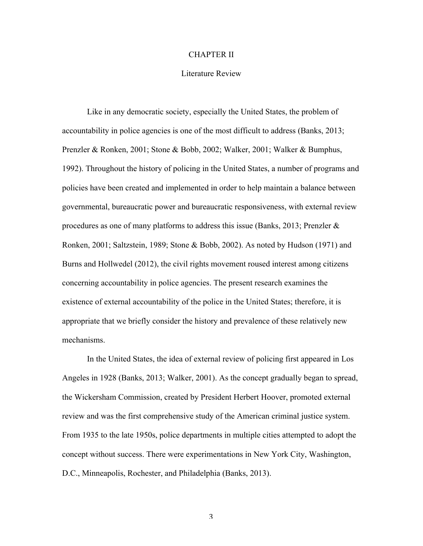## CHAPTER II

### Literature Review

Like in any democratic society, especially the United States, the problem of accountability in police agencies is one of the most difficult to address (Banks, 2013; Prenzler & Ronken, 2001; Stone & Bobb, 2002; Walker, 2001; Walker & Bumphus, 1992). Throughout the history of policing in the United States, a number of programs and policies have been created and implemented in order to help maintain a balance between governmental, bureaucratic power and bureaucratic responsiveness, with external review procedures as one of many platforms to address this issue (Banks, 2013; Prenzler & Ronken, 2001; Saltzstein, 1989; Stone & Bobb, 2002). As noted by Hudson (1971) and Burns and Hollwedel (2012), the civil rights movement roused interest among citizens concerning accountability in police agencies. The present research examines the existence of external accountability of the police in the United States; therefore, it is appropriate that we briefly consider the history and prevalence of these relatively new mechanisms.

In the United States, the idea of external review of policing first appeared in Los Angeles in 1928 (Banks, 2013; Walker, 2001). As the concept gradually began to spread, the Wickersham Commission, created by President Herbert Hoover, promoted external review and was the first comprehensive study of the American criminal justice system. From 1935 to the late 1950s, police departments in multiple cities attempted to adopt the concept without success. There were experimentations in New York City, Washington, D.C., Minneapolis, Rochester, and Philadelphia (Banks, 2013).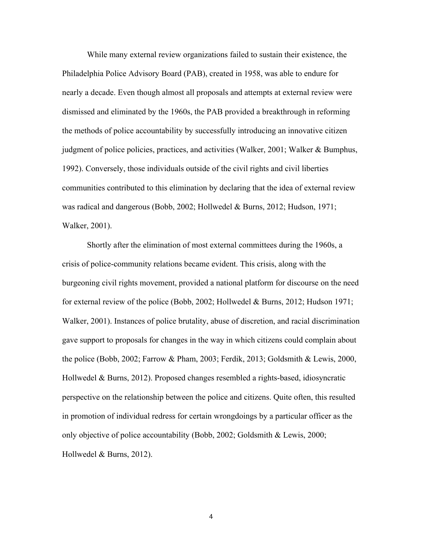While many external review organizations failed to sustain their existence, the Philadelphia Police Advisory Board (PAB), created in 1958, was able to endure for nearly a decade. Even though almost all proposals and attempts at external review were dismissed and eliminated by the 1960s, the PAB provided a breakthrough in reforming the methods of police accountability by successfully introducing an innovative citizen judgment of police policies, practices, and activities (Walker, 2001; Walker & Bumphus, 1992). Conversely, those individuals outside of the civil rights and civil liberties communities contributed to this elimination by declaring that the idea of external review was radical and dangerous (Bobb, 2002; Hollwedel & Burns, 2012; Hudson, 1971; Walker, 2001).

Shortly after the elimination of most external committees during the 1960s, a crisis of police-community relations became evident. This crisis, along with the burgeoning civil rights movement, provided a national platform for discourse on the need for external review of the police (Bobb, 2002; Hollwedel & Burns, 2012; Hudson 1971; Walker, 2001). Instances of police brutality, abuse of discretion, and racial discrimination gave support to proposals for changes in the way in which citizens could complain about the police (Bobb, 2002; Farrow & Pham, 2003; Ferdik, 2013; Goldsmith & Lewis, 2000, Hollwedel & Burns, 2012). Proposed changes resembled a rights-based, idiosyncratic perspective on the relationship between the police and citizens. Quite often, this resulted in promotion of individual redress for certain wrongdoings by a particular officer as the only objective of police accountability (Bobb, 2002; Goldsmith & Lewis, 2000; Hollwedel & Burns, 2012).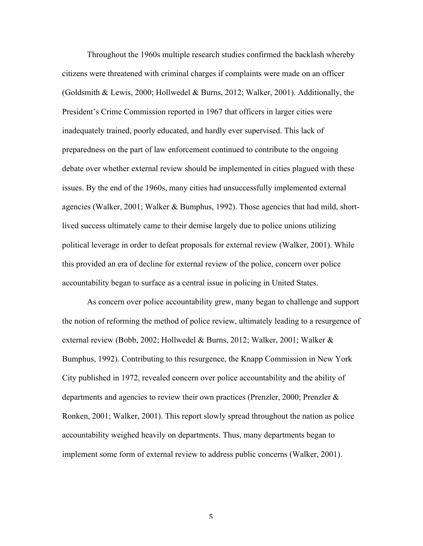Throughout the 1960s multiple research studies confirmed the backlash whereby citizens were threatened with criminal charges if complaints were made on an officer (Goldsmith & Lewis, 2000; Hollwedel & Burns, 2012; Walker, 2001). Additionally, the President's Crime Commission reported in 1967 that officers in larger cities were inadequately trained, poorly educated, and hardly ever supervised. This lack of preparedness on the part of law enforcement continued to contribute to the ongoing debate over whether external review should be implemented in cities plagued with these issues. By the end of the 1960s, many cities had unsuccessfully implemented external agencies (Walker, 2001; Walker & Bumphus, 1992). Those agencies that had mild, shortlived success ultimately came to their demise largely due to police unions utilizing political leverage in order to defeat proposals for external review (Walker, 2001). While this provided an era of decline for external review of the police, concern over police accountability began to surface as a central issue in policing in United States.

As concern over police accountability grew, many began to challenge and support the notion of reforming the method of police review, ultimately leading to a resurgence of external review (Bobb, 2002; Hollwedel & Burns, 2012; Walker, 2001; Walker & Bumphus, 1992). Contributing to this resurgence, the Knapp Commission in New York City published in 1972, revealed concern over police accountability and the ability of departments and agencies to review their own practices (Prenzler, 2000; Prenzler & Ronken, 2001; Walker, 2001). This report slowly spread throughout the nation as police accountability weighed heavily on departments. Thus, many departments began to implement some form of external review to address public concerns (Walker, 2001).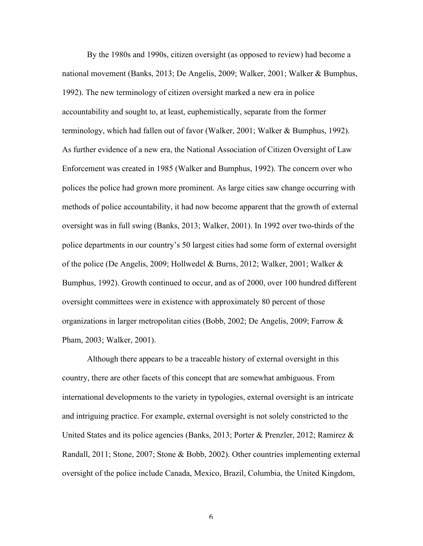By the 1980s and 1990s, citizen oversight (as opposed to review) had become a national movement (Banks, 2013; De Angelis, 2009; Walker, 2001; Walker & Bumphus, 1992). The new terminology of citizen oversight marked a new era in police accountability and sought to, at least, euphemistically, separate from the former terminology, which had fallen out of favor (Walker, 2001; Walker & Bumphus, 1992). As further evidence of a new era, the National Association of Citizen Oversight of Law Enforcement was created in 1985 (Walker and Bumphus, 1992). The concern over who polices the police had grown more prominent. As large cities saw change occurring with methods of police accountability, it had now become apparent that the growth of external oversight was in full swing (Banks, 2013; Walker, 2001). In 1992 over two-thirds of the police departments in our country's 50 largest cities had some form of external oversight of the police (De Angelis, 2009; Hollwedel & Burns, 2012; Walker, 2001; Walker & Bumphus, 1992). Growth continued to occur, and as of 2000, over 100 hundred different oversight committees were in existence with approximately 80 percent of those organizations in larger metropolitan cities (Bobb, 2002; De Angelis, 2009; Farrow & Pham, 2003; Walker, 2001).

Although there appears to be a traceable history of external oversight in this country, there are other facets of this concept that are somewhat ambiguous. From international developments to the variety in typologies, external oversight is an intricate and intriguing practice. For example, external oversight is not solely constricted to the United States and its police agencies (Banks, 2013; Porter & Prenzler, 2012; Ramirez & Randall, 2011; Stone, 2007; Stone & Bobb, 2002). Other countries implementing external oversight of the police include Canada, Mexico, Brazil, Columbia, the United Kingdom,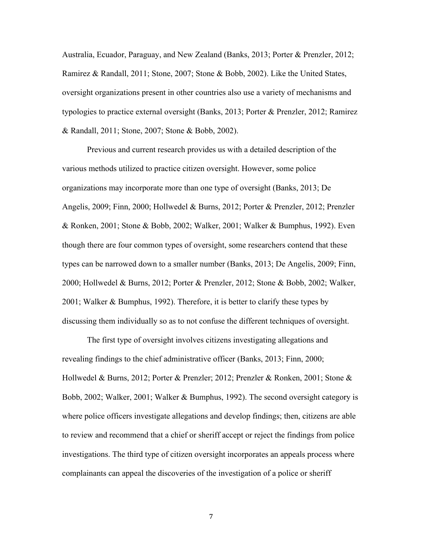Australia, Ecuador, Paraguay, and New Zealand (Banks, 2013; Porter & Prenzler, 2012; Ramirez & Randall, 2011; Stone, 2007; Stone & Bobb, 2002). Like the United States, oversight organizations present in other countries also use a variety of mechanisms and typologies to practice external oversight (Banks, 2013; Porter & Prenzler, 2012; Ramirez & Randall, 2011; Stone, 2007; Stone & Bobb, 2002).

Previous and current research provides us with a detailed description of the various methods utilized to practice citizen oversight. However, some police organizations may incorporate more than one type of oversight (Banks, 2013; De Angelis, 2009; Finn, 2000; Hollwedel & Burns, 2012; Porter & Prenzler, 2012; Prenzler & Ronken, 2001; Stone & Bobb, 2002; Walker, 2001; Walker & Bumphus, 1992). Even though there are four common types of oversight, some researchers contend that these types can be narrowed down to a smaller number (Banks, 2013; De Angelis, 2009; Finn, 2000; Hollwedel & Burns, 2012; Porter & Prenzler, 2012; Stone & Bobb, 2002; Walker, 2001; Walker & Bumphus, 1992). Therefore, it is better to clarify these types by discussing them individually so as to not confuse the different techniques of oversight.

The first type of oversight involves citizens investigating allegations and revealing findings to the chief administrative officer (Banks, 2013; Finn, 2000; Hollwedel & Burns, 2012; Porter & Prenzler; 2012; Prenzler & Ronken, 2001; Stone & Bobb, 2002; Walker, 2001; Walker & Bumphus, 1992). The second oversight category is where police officers investigate allegations and develop findings; then, citizens are able to review and recommend that a chief or sheriff accept or reject the findings from police investigations. The third type of citizen oversight incorporates an appeals process where complainants can appeal the discoveries of the investigation of a police or sheriff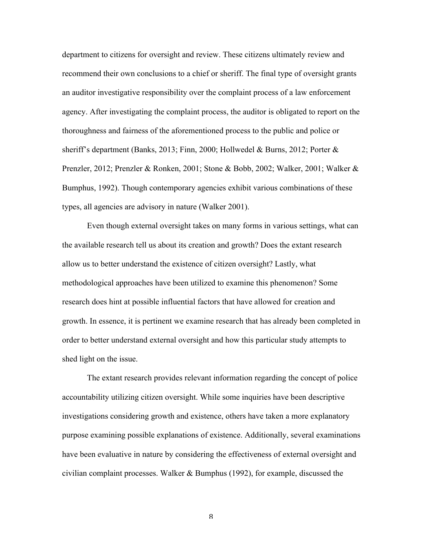department to citizens for oversight and review. These citizens ultimately review and recommend their own conclusions to a chief or sheriff. The final type of oversight grants an auditor investigative responsibility over the complaint process of a law enforcement agency. After investigating the complaint process, the auditor is obligated to report on the thoroughness and fairness of the aforementioned process to the public and police or sheriff's department (Banks, 2013; Finn, 2000; Hollwedel & Burns, 2012; Porter & Prenzler, 2012; Prenzler & Ronken, 2001; Stone & Bobb, 2002; Walker, 2001; Walker & Bumphus, 1992). Though contemporary agencies exhibit various combinations of these types, all agencies are advisory in nature (Walker 2001).

Even though external oversight takes on many forms in various settings, what can the available research tell us about its creation and growth? Does the extant research allow us to better understand the existence of citizen oversight? Lastly, what methodological approaches have been utilized to examine this phenomenon? Some research does hint at possible influential factors that have allowed for creation and growth. In essence, it is pertinent we examine research that has already been completed in order to better understand external oversight and how this particular study attempts to shed light on the issue.

The extant research provides relevant information regarding the concept of police accountability utilizing citizen oversight. While some inquiries have been descriptive investigations considering growth and existence, others have taken a more explanatory purpose examining possible explanations of existence. Additionally, several examinations have been evaluative in nature by considering the effectiveness of external oversight and civilian complaint processes. Walker & Bumphus (1992), for example, discussed the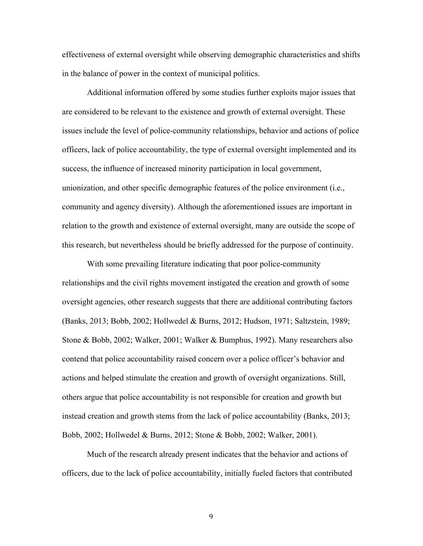effectiveness of external oversight while observing demographic characteristics and shifts in the balance of power in the context of municipal politics.

Additional information offered by some studies further exploits major issues that are considered to be relevant to the existence and growth of external oversight. These issues include the level of police-community relationships, behavior and actions of police officers, lack of police accountability, the type of external oversight implemented and its success, the influence of increased minority participation in local government, unionization, and other specific demographic features of the police environment (i.e., community and agency diversity). Although the aforementioned issues are important in relation to the growth and existence of external oversight, many are outside the scope of this research, but nevertheless should be briefly addressed for the purpose of continuity.

With some prevailing literature indicating that poor police-community relationships and the civil rights movement instigated the creation and growth of some oversight agencies, other research suggests that there are additional contributing factors (Banks, 2013; Bobb, 2002; Hollwedel & Burns, 2012; Hudson, 1971; Saltzstein, 1989; Stone & Bobb, 2002; Walker, 2001; Walker & Bumphus, 1992). Many researchers also contend that police accountability raised concern over a police officer's behavior and actions and helped stimulate the creation and growth of oversight organizations. Still, others argue that police accountability is not responsible for creation and growth but instead creation and growth stems from the lack of police accountability (Banks, 2013; Bobb, 2002; Hollwedel & Burns, 2012; Stone & Bobb, 2002; Walker, 2001).

Much of the research already present indicates that the behavior and actions of officers, due to the lack of police accountability, initially fueled factors that contributed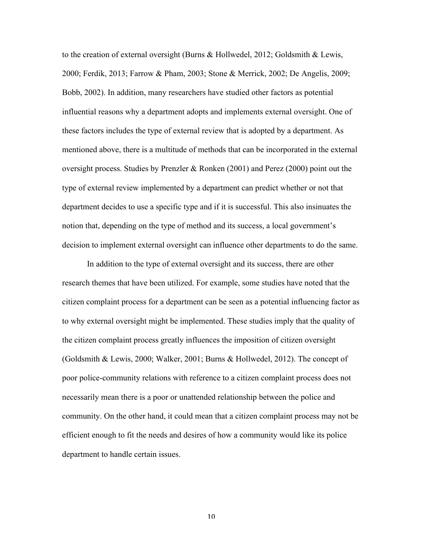to the creation of external oversight (Burns & Hollwedel, 2012; Goldsmith & Lewis, 2000; Ferdik, 2013; Farrow & Pham, 2003; Stone & Merrick, 2002; De Angelis, 2009; Bobb, 2002). In addition, many researchers have studied other factors as potential influential reasons why a department adopts and implements external oversight. One of these factors includes the type of external review that is adopted by a department. As mentioned above, there is a multitude of methods that can be incorporated in the external oversight process. Studies by Prenzler & Ronken (2001) and Perez (2000) point out the type of external review implemented by a department can predict whether or not that department decides to use a specific type and if it is successful. This also insinuates the notion that, depending on the type of method and its success, a local government's decision to implement external oversight can influence other departments to do the same.

In addition to the type of external oversight and its success, there are other research themes that have been utilized. For example, some studies have noted that the citizen complaint process for a department can be seen as a potential influencing factor as to why external oversight might be implemented. These studies imply that the quality of the citizen complaint process greatly influences the imposition of citizen oversight (Goldsmith & Lewis, 2000; Walker, 2001; Burns & Hollwedel, 2012). The concept of poor police-community relations with reference to a citizen complaint process does not necessarily mean there is a poor or unattended relationship between the police and community. On the other hand, it could mean that a citizen complaint process may not be efficient enough to fit the needs and desires of how a community would like its police department to handle certain issues.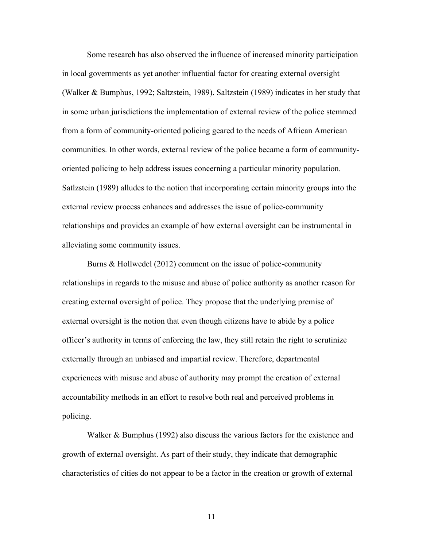Some research has also observed the influence of increased minority participation in local governments as yet another influential factor for creating external oversight (Walker & Bumphus, 1992; Saltzstein, 1989). Saltzstein (1989) indicates in her study that in some urban jurisdictions the implementation of external review of the police stemmed from a form of community-oriented policing geared to the needs of African American communities. In other words, external review of the police became a form of communityoriented policing to help address issues concerning a particular minority population. Satlzstein (1989) alludes to the notion that incorporating certain minority groups into the external review process enhances and addresses the issue of police-community relationships and provides an example of how external oversight can be instrumental in alleviating some community issues.

Burns & Hollwedel (2012) comment on the issue of police-community relationships in regards to the misuse and abuse of police authority as another reason for creating external oversight of police. They propose that the underlying premise of external oversight is the notion that even though citizens have to abide by a police officer's authority in terms of enforcing the law, they still retain the right to scrutinize externally through an unbiased and impartial review. Therefore, departmental experiences with misuse and abuse of authority may prompt the creation of external accountability methods in an effort to resolve both real and perceived problems in policing.

Walker & Bumphus (1992) also discuss the various factors for the existence and growth of external oversight. As part of their study, they indicate that demographic characteristics of cities do not appear to be a factor in the creation or growth of external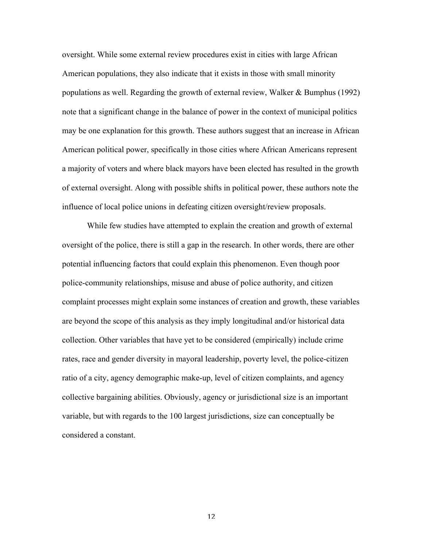oversight. While some external review procedures exist in cities with large African American populations, they also indicate that it exists in those with small minority populations as well. Regarding the growth of external review, Walker & Bumphus (1992) note that a significant change in the balance of power in the context of municipal politics may be one explanation for this growth. These authors suggest that an increase in African American political power, specifically in those cities where African Americans represent a majority of voters and where black mayors have been elected has resulted in the growth of external oversight. Along with possible shifts in political power, these authors note the influence of local police unions in defeating citizen oversight/review proposals.

While few studies have attempted to explain the creation and growth of external oversight of the police, there is still a gap in the research. In other words, there are other potential influencing factors that could explain this phenomenon. Even though poor police-community relationships, misuse and abuse of police authority, and citizen complaint processes might explain some instances of creation and growth, these variables are beyond the scope of this analysis as they imply longitudinal and/or historical data collection. Other variables that have yet to be considered (empirically) include crime rates, race and gender diversity in mayoral leadership, poverty level, the police-citizen ratio of a city, agency demographic make-up, level of citizen complaints, and agency collective bargaining abilities. Obviously, agency or jurisdictional size is an important variable, but with regards to the 100 largest jurisdictions, size can conceptually be considered a constant.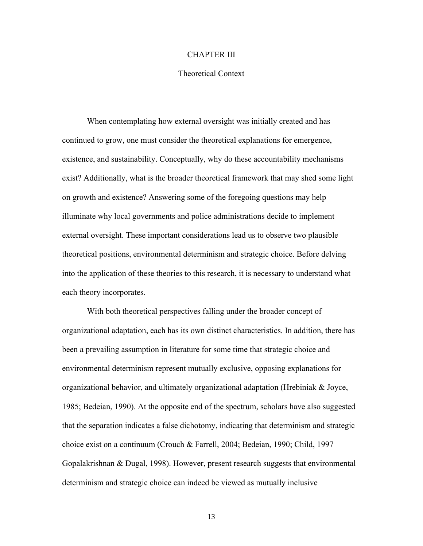## CHAPTER III

## Theoretical Context

When contemplating how external oversight was initially created and has continued to grow, one must consider the theoretical explanations for emergence, existence, and sustainability. Conceptually, why do these accountability mechanisms exist? Additionally, what is the broader theoretical framework that may shed some light on growth and existence? Answering some of the foregoing questions may help illuminate why local governments and police administrations decide to implement external oversight. These important considerations lead us to observe two plausible theoretical positions, environmental determinism and strategic choice. Before delving into the application of these theories to this research, it is necessary to understand what each theory incorporates.

With both theoretical perspectives falling under the broader concept of organizational adaptation, each has its own distinct characteristics. In addition, there has been a prevailing assumption in literature for some time that strategic choice and environmental determinism represent mutually exclusive, opposing explanations for organizational behavior, and ultimately organizational adaptation (Hrebiniak & Joyce, 1985; Bedeian, 1990). At the opposite end of the spectrum, scholars have also suggested that the separation indicates a false dichotomy, indicating that determinism and strategic choice exist on a continuum (Crouch & Farrell, 2004; Bedeian, 1990; Child, 1997 Gopalakrishnan & Dugal, 1998). However, present research suggests that environmental determinism and strategic choice can indeed be viewed as mutually inclusive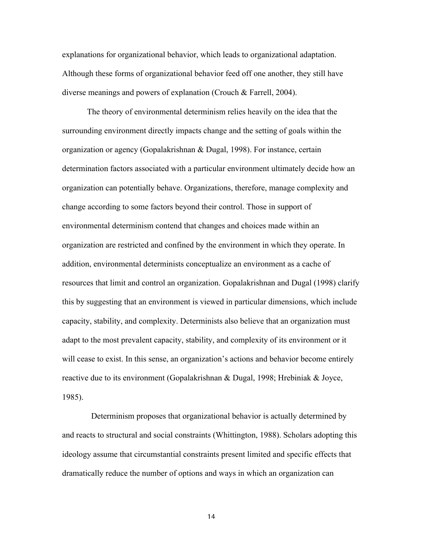explanations for organizational behavior, which leads to organizational adaptation. Although these forms of organizational behavior feed off one another, they still have diverse meanings and powers of explanation (Crouch & Farrell, 2004).

The theory of environmental determinism relies heavily on the idea that the surrounding environment directly impacts change and the setting of goals within the organization or agency (Gopalakrishnan & Dugal, 1998). For instance, certain determination factors associated with a particular environment ultimately decide how an organization can potentially behave. Organizations, therefore, manage complexity and change according to some factors beyond their control. Those in support of environmental determinism contend that changes and choices made within an organization are restricted and confined by the environment in which they operate. In addition, environmental determinists conceptualize an environment as a cache of resources that limit and control an organization. Gopalakrishnan and Dugal (1998) clarify this by suggesting that an environment is viewed in particular dimensions, which include capacity, stability, and complexity. Determinists also believe that an organization must adapt to the most prevalent capacity, stability, and complexity of its environment or it will cease to exist. In this sense, an organization's actions and behavior become entirely reactive due to its environment (Gopalakrishnan & Dugal, 1998; Hrebiniak & Joyce, 1985).

 Determinism proposes that organizational behavior is actually determined by and reacts to structural and social constraints (Whittington, 1988). Scholars adopting this ideology assume that circumstantial constraints present limited and specific effects that dramatically reduce the number of options and ways in which an organization can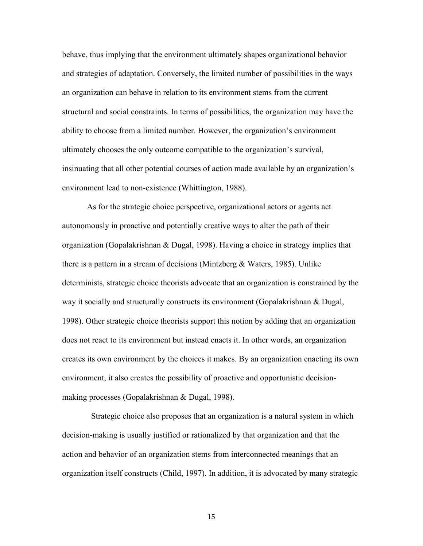behave, thus implying that the environment ultimately shapes organizational behavior and strategies of adaptation. Conversely, the limited number of possibilities in the ways an organization can behave in relation to its environment stems from the current structural and social constraints. In terms of possibilities, the organization may have the ability to choose from a limited number. However, the organization's environment ultimately chooses the only outcome compatible to the organization's survival, insinuating that all other potential courses of action made available by an organization's environment lead to non-existence (Whittington, 1988).

As for the strategic choice perspective, organizational actors or agents act autonomously in proactive and potentially creative ways to alter the path of their organization (Gopalakrishnan & Dugal, 1998). Having a choice in strategy implies that there is a pattern in a stream of decisions (Mintzberg  $\&$  Waters, 1985). Unlike determinists, strategic choice theorists advocate that an organization is constrained by the way it socially and structurally constructs its environment (Gopalakrishnan & Dugal, 1998). Other strategic choice theorists support this notion by adding that an organization does not react to its environment but instead enacts it. In other words, an organization creates its own environment by the choices it makes. By an organization enacting its own environment, it also creates the possibility of proactive and opportunistic decisionmaking processes (Gopalakrishnan & Dugal, 1998).

 Strategic choice also proposes that an organization is a natural system in which decision-making is usually justified or rationalized by that organization and that the action and behavior of an organization stems from interconnected meanings that an organization itself constructs (Child, 1997). In addition, it is advocated by many strategic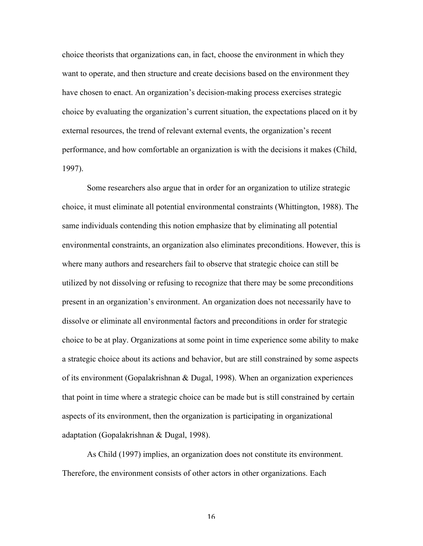choice theorists that organizations can, in fact, choose the environment in which they want to operate, and then structure and create decisions based on the environment they have chosen to enact. An organization's decision-making process exercises strategic choice by evaluating the organization's current situation, the expectations placed on it by external resources, the trend of relevant external events, the organization's recent performance, and how comfortable an organization is with the decisions it makes (Child, 1997).

Some researchers also argue that in order for an organization to utilize strategic choice, it must eliminate all potential environmental constraints (Whittington, 1988). The same individuals contending this notion emphasize that by eliminating all potential environmental constraints, an organization also eliminates preconditions. However, this is where many authors and researchers fail to observe that strategic choice can still be utilized by not dissolving or refusing to recognize that there may be some preconditions present in an organization's environment. An organization does not necessarily have to dissolve or eliminate all environmental factors and preconditions in order for strategic choice to be at play. Organizations at some point in time experience some ability to make a strategic choice about its actions and behavior, but are still constrained by some aspects of its environment (Gopalakrishnan & Dugal, 1998). When an organization experiences that point in time where a strategic choice can be made but is still constrained by certain aspects of its environment, then the organization is participating in organizational adaptation (Gopalakrishnan & Dugal, 1998).

As Child (1997) implies, an organization does not constitute its environment. Therefore, the environment consists of other actors in other organizations. Each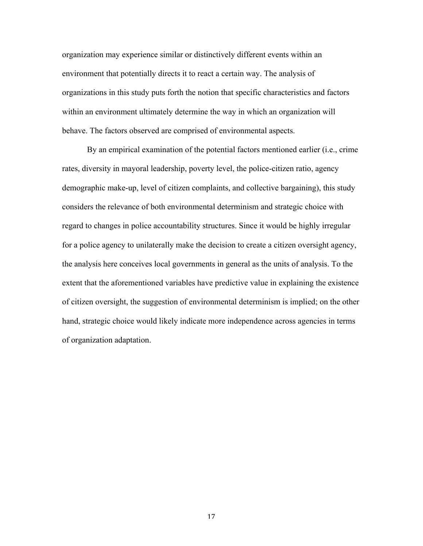organization may experience similar or distinctively different events within an environment that potentially directs it to react a certain way. The analysis of organizations in this study puts forth the notion that specific characteristics and factors within an environment ultimately determine the way in which an organization will behave. The factors observed are comprised of environmental aspects.

By an empirical examination of the potential factors mentioned earlier (i.e., crime rates, diversity in mayoral leadership, poverty level, the police-citizen ratio, agency demographic make-up, level of citizen complaints, and collective bargaining), this study considers the relevance of both environmental determinism and strategic choice with regard to changes in police accountability structures. Since it would be highly irregular for a police agency to unilaterally make the decision to create a citizen oversight agency, the analysis here conceives local governments in general as the units of analysis. To the extent that the aforementioned variables have predictive value in explaining the existence of citizen oversight, the suggestion of environmental determinism is implied; on the other hand, strategic choice would likely indicate more independence across agencies in terms of organization adaptation.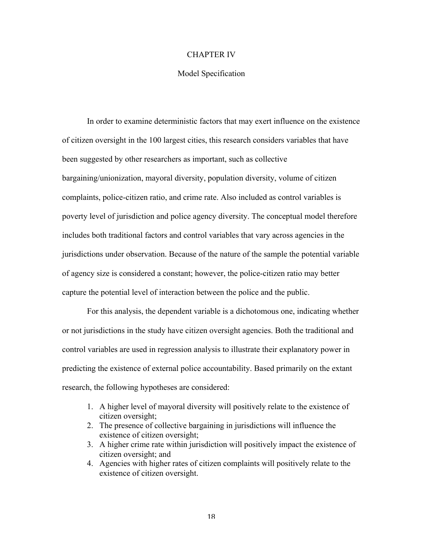## CHAPTER IV

## Model Specification

In order to examine deterministic factors that may exert influence on the existence of citizen oversight in the 100 largest cities, this research considers variables that have been suggested by other researchers as important, such as collective bargaining/unionization, mayoral diversity, population diversity, volume of citizen complaints, police-citizen ratio, and crime rate. Also included as control variables is poverty level of jurisdiction and police agency diversity. The conceptual model therefore includes both traditional factors and control variables that vary across agencies in the jurisdictions under observation. Because of the nature of the sample the potential variable of agency size is considered a constant; however, the police-citizen ratio may better capture the potential level of interaction between the police and the public.

For this analysis, the dependent variable is a dichotomous one, indicating whether or not jurisdictions in the study have citizen oversight agencies. Both the traditional and control variables are used in regression analysis to illustrate their explanatory power in predicting the existence of external police accountability. Based primarily on the extant research, the following hypotheses are considered:

- 1. A higher level of mayoral diversity will positively relate to the existence of citizen oversight;
- 2. The presence of collective bargaining in jurisdictions will influence the existence of citizen oversight;
- 3. A higher crime rate within jurisdiction will positively impact the existence of citizen oversight; and
- 4. Agencies with higher rates of citizen complaints will positively relate to the existence of citizen oversight.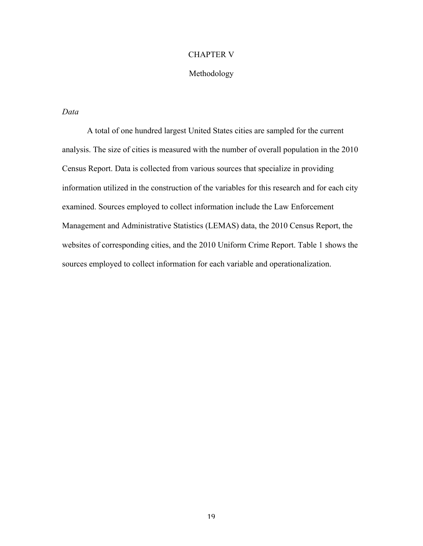## CHAPTER V

## Methodology

## *Data*

A total of one hundred largest United States cities are sampled for the current analysis. The size of cities is measured with the number of overall population in the 2010 Census Report. Data is collected from various sources that specialize in providing information utilized in the construction of the variables for this research and for each city examined. Sources employed to collect information include the Law Enforcement Management and Administrative Statistics (LEMAS) data, the 2010 Census Report, the websites of corresponding cities, and the 2010 Uniform Crime Report. Table 1 shows the sources employed to collect information for each variable and operationalization.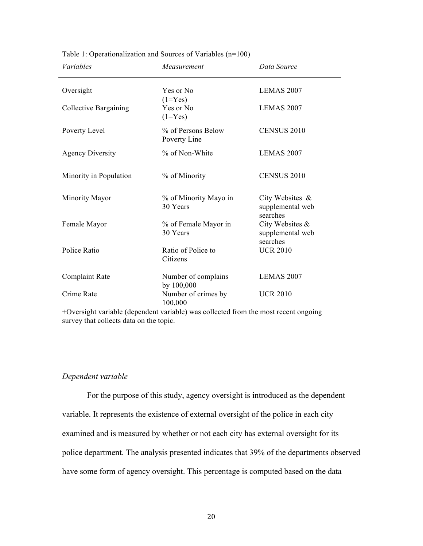| <i>Variables</i>        | Measurement                        | Data Source                                     |
|-------------------------|------------------------------------|-------------------------------------------------|
| Oversight               | Yes or No<br>$(1 = Yes)$           | LEMAS 2007                                      |
| Collective Bargaining   | Yes or No<br>$(1 = Yes)$           | <b>LEMAS 2007</b>                               |
| Poverty Level           | % of Persons Below<br>Poverty Line | <b>CENSUS 2010</b>                              |
| <b>Agency Diversity</b> | % of Non-White                     | LEMAS 2007                                      |
| Minority in Population  | % of Minority                      | <b>CENSUS 2010</b>                              |
| Minority Mayor          | % of Minority Mayo in<br>30 Years  | City Websites &<br>supplemental web<br>searches |
| Female Mayor            | % of Female Mayor in<br>30 Years   | City Websites &<br>supplemental web<br>searches |
| Police Ratio            | Ratio of Police to<br>Citizens     | <b>UCR 2010</b>                                 |
| Complaint Rate          | Number of complains<br>by 100,000  | LEMAS 2007                                      |
| Crime Rate              | Number of crimes by<br>100,000     | <b>UCR 2010</b>                                 |

Table 1: Operationalization and Sources of Variables (n=100)

+Oversight variable (dependent variable) was collected from the most recent ongoing survey that collects data on the topic.

## *Dependent variable*

For the purpose of this study, agency oversight is introduced as the dependent variable. It represents the existence of external oversight of the police in each city examined and is measured by whether or not each city has external oversight for its police department. The analysis presented indicates that 39% of the departments observed have some form of agency oversight. This percentage is computed based on the data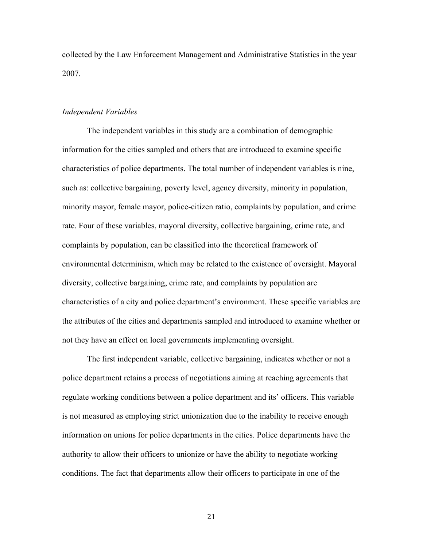collected by the Law Enforcement Management and Administrative Statistics in the year 2007.

## *Independent Variables*

The independent variables in this study are a combination of demographic information for the cities sampled and others that are introduced to examine specific characteristics of police departments. The total number of independent variables is nine, such as: collective bargaining, poverty level, agency diversity, minority in population, minority mayor, female mayor, police-citizen ratio, complaints by population, and crime rate. Four of these variables, mayoral diversity, collective bargaining, crime rate, and complaints by population, can be classified into the theoretical framework of environmental determinism, which may be related to the existence of oversight. Mayoral diversity, collective bargaining, crime rate, and complaints by population are characteristics of a city and police department's environment. These specific variables are the attributes of the cities and departments sampled and introduced to examine whether or not they have an effect on local governments implementing oversight.

The first independent variable, collective bargaining, indicates whether or not a police department retains a process of negotiations aiming at reaching agreements that regulate working conditions between a police department and its' officers. This variable is not measured as employing strict unionization due to the inability to receive enough information on unions for police departments in the cities. Police departments have the authority to allow their officers to unionize or have the ability to negotiate working conditions. The fact that departments allow their officers to participate in one of the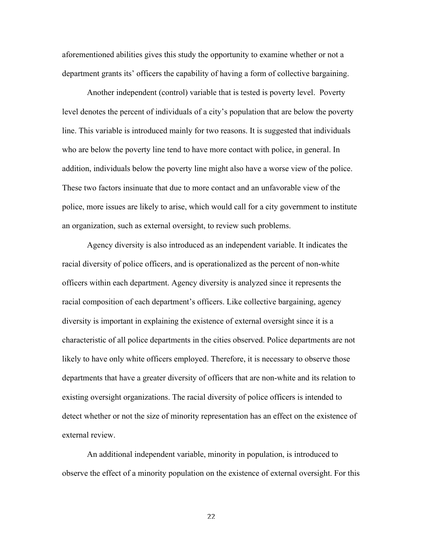aforementioned abilities gives this study the opportunity to examine whether or not a department grants its' officers the capability of having a form of collective bargaining.

Another independent (control) variable that is tested is poverty level. Poverty level denotes the percent of individuals of a city's population that are below the poverty line. This variable is introduced mainly for two reasons. It is suggested that individuals who are below the poverty line tend to have more contact with police, in general. In addition, individuals below the poverty line might also have a worse view of the police. These two factors insinuate that due to more contact and an unfavorable view of the police, more issues are likely to arise, which would call for a city government to institute an organization, such as external oversight, to review such problems.

Agency diversity is also introduced as an independent variable. It indicates the racial diversity of police officers, and is operationalized as the percent of non-white officers within each department. Agency diversity is analyzed since it represents the racial composition of each department's officers. Like collective bargaining, agency diversity is important in explaining the existence of external oversight since it is a characteristic of all police departments in the cities observed. Police departments are not likely to have only white officers employed. Therefore, it is necessary to observe those departments that have a greater diversity of officers that are non-white and its relation to existing oversight organizations. The racial diversity of police officers is intended to detect whether or not the size of minority representation has an effect on the existence of external review.

An additional independent variable, minority in population, is introduced to observe the effect of a minority population on the existence of external oversight. For this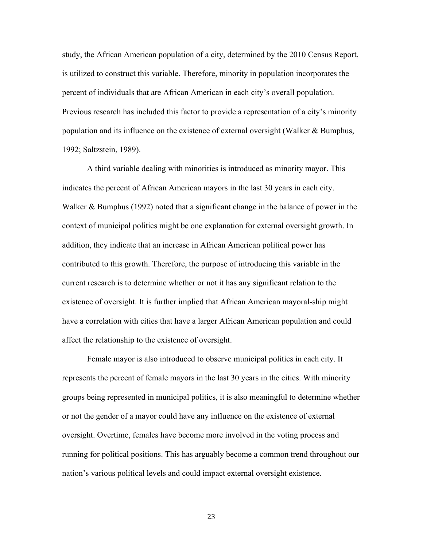study, the African American population of a city, determined by the 2010 Census Report, is utilized to construct this variable. Therefore, minority in population incorporates the percent of individuals that are African American in each city's overall population. Previous research has included this factor to provide a representation of a city's minority population and its influence on the existence of external oversight (Walker & Bumphus, 1992; Saltzstein, 1989).

A third variable dealing with minorities is introduced as minority mayor. This indicates the percent of African American mayors in the last 30 years in each city. Walker & Bumphus (1992) noted that a significant change in the balance of power in the context of municipal politics might be one explanation for external oversight growth. In addition, they indicate that an increase in African American political power has contributed to this growth. Therefore, the purpose of introducing this variable in the current research is to determine whether or not it has any significant relation to the existence of oversight. It is further implied that African American mayoral-ship might have a correlation with cities that have a larger African American population and could affect the relationship to the existence of oversight.

Female mayor is also introduced to observe municipal politics in each city. It represents the percent of female mayors in the last 30 years in the cities. With minority groups being represented in municipal politics, it is also meaningful to determine whether or not the gender of a mayor could have any influence on the existence of external oversight. Overtime, females have become more involved in the voting process and running for political positions. This has arguably become a common trend throughout our nation's various political levels and could impact external oversight existence.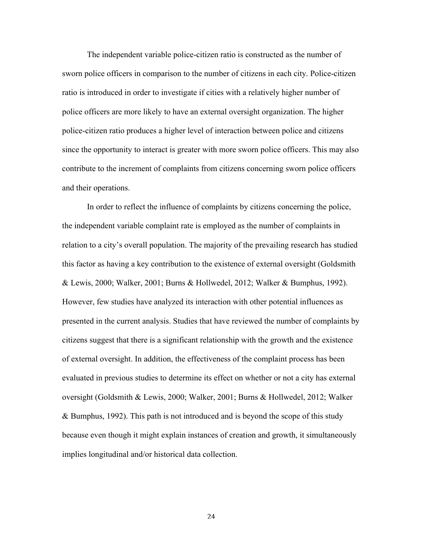The independent variable police-citizen ratio is constructed as the number of sworn police officers in comparison to the number of citizens in each city. Police-citizen ratio is introduced in order to investigate if cities with a relatively higher number of police officers are more likely to have an external oversight organization. The higher police-citizen ratio produces a higher level of interaction between police and citizens since the opportunity to interact is greater with more sworn police officers. This may also contribute to the increment of complaints from citizens concerning sworn police officers and their operations.

In order to reflect the influence of complaints by citizens concerning the police, the independent variable complaint rate is employed as the number of complaints in relation to a city's overall population. The majority of the prevailing research has studied this factor as having a key contribution to the existence of external oversight (Goldsmith & Lewis, 2000; Walker, 2001; Burns & Hollwedel, 2012; Walker & Bumphus, 1992). However, few studies have analyzed its interaction with other potential influences as presented in the current analysis. Studies that have reviewed the number of complaints by citizens suggest that there is a significant relationship with the growth and the existence of external oversight. In addition, the effectiveness of the complaint process has been evaluated in previous studies to determine its effect on whether or not a city has external oversight (Goldsmith & Lewis, 2000; Walker, 2001; Burns & Hollwedel, 2012; Walker & Bumphus, 1992). This path is not introduced and is beyond the scope of this study because even though it might explain instances of creation and growth, it simultaneously implies longitudinal and/or historical data collection.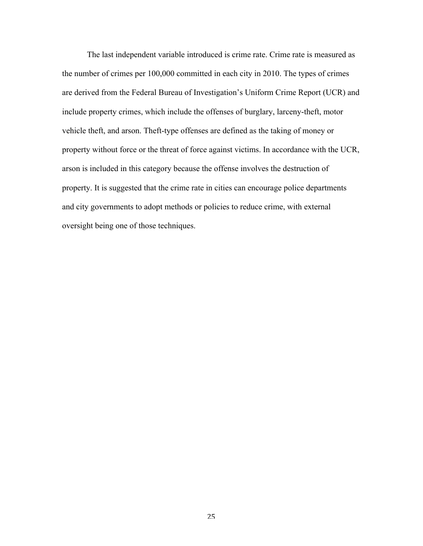The last independent variable introduced is crime rate. Crime rate is measured as the number of crimes per 100,000 committed in each city in 2010. The types of crimes are derived from the Federal Bureau of Investigation's Uniform Crime Report (UCR) and include property crimes, which include the offenses of burglary, larceny-theft, motor vehicle theft, and arson. Theft-type offenses are defined as the taking of money or property without force or the threat of force against victims. In accordance with the UCR, arson is included in this category because the offense involves the destruction of property. It is suggested that the crime rate in cities can encourage police departments and city governments to adopt methods or policies to reduce crime, with external oversight being one of those techniques.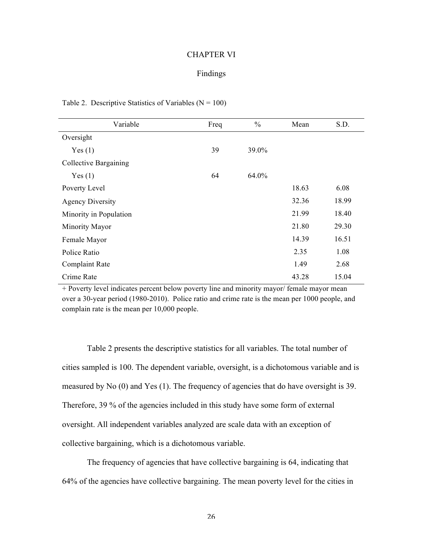#### CHAPTER VI

## Findings

| Variable                | Freq | $\frac{0}{0}$ | Mean  | S.D.  |
|-------------------------|------|---------------|-------|-------|
| Oversight               |      |               |       |       |
| Yes(1)                  | 39   | 39.0%         |       |       |
| Collective Bargaining   |      |               |       |       |
| Yes(1)                  | 64   | 64.0%         |       |       |
| Poverty Level           |      |               | 18.63 | 6.08  |
| <b>Agency Diversity</b> |      |               | 32.36 | 18.99 |
| Minority in Population  |      |               | 21.99 | 18.40 |
| Minority Mayor          |      |               | 21.80 | 29.30 |
| Female Mayor            |      |               | 14.39 | 16.51 |
| Police Ratio            |      |               | 2.35  | 1.08  |
| Complaint Rate          |      |               | 1.49  | 2.68  |
| Crime Rate              |      |               | 43.28 | 15.04 |

#### Table 2. Descriptive Statistics of Variables  $(N = 100)$

+ Poverty level indicates percent below poverty line and minority mayor/ female mayor mean over a 30-year period (1980-2010). Police ratio and crime rate is the mean per 1000 people, and complain rate is the mean per 10,000 people.

Table 2 presents the descriptive statistics for all variables. The total number of cities sampled is 100. The dependent variable, oversight, is a dichotomous variable and is measured by No (0) and Yes (1). The frequency of agencies that do have oversight is 39. Therefore, 39 % of the agencies included in this study have some form of external oversight. All independent variables analyzed are scale data with an exception of collective bargaining, which is a dichotomous variable.

The frequency of agencies that have collective bargaining is 64, indicating that 64% of the agencies have collective bargaining. The mean poverty level for the cities in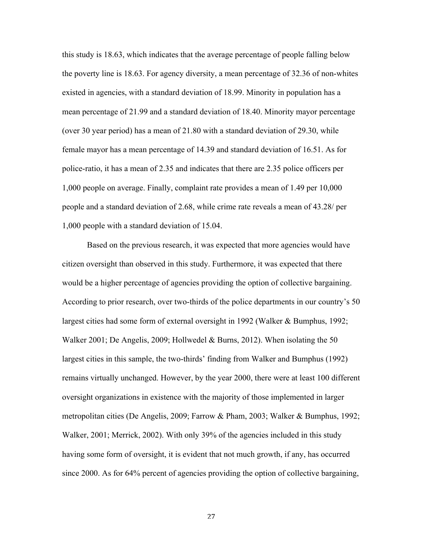this study is 18.63, which indicates that the average percentage of people falling below the poverty line is 18.63. For agency diversity, a mean percentage of 32.36 of non-whites existed in agencies, with a standard deviation of 18.99. Minority in population has a mean percentage of 21.99 and a standard deviation of 18.40. Minority mayor percentage (over 30 year period) has a mean of 21.80 with a standard deviation of 29.30, while female mayor has a mean percentage of 14.39 and standard deviation of 16.51. As for police-ratio, it has a mean of 2.35 and indicates that there are 2.35 police officers per 1,000 people on average. Finally, complaint rate provides a mean of 1.49 per 10,000 people and a standard deviation of 2.68, while crime rate reveals a mean of 43.28/ per 1,000 people with a standard deviation of 15.04.

Based on the previous research, it was expected that more agencies would have citizen oversight than observed in this study. Furthermore, it was expected that there would be a higher percentage of agencies providing the option of collective bargaining. According to prior research, over two-thirds of the police departments in our country's 50 largest cities had some form of external oversight in 1992 (Walker & Bumphus, 1992; Walker 2001; De Angelis, 2009; Hollwedel & Burns, 2012). When isolating the 50 largest cities in this sample, the two-thirds' finding from Walker and Bumphus (1992) remains virtually unchanged. However, by the year 2000, there were at least 100 different oversight organizations in existence with the majority of those implemented in larger metropolitan cities (De Angelis, 2009; Farrow & Pham, 2003; Walker & Bumphus, 1992; Walker, 2001; Merrick, 2002). With only 39% of the agencies included in this study having some form of oversight, it is evident that not much growth, if any, has occurred since 2000. As for 64% percent of agencies providing the option of collective bargaining,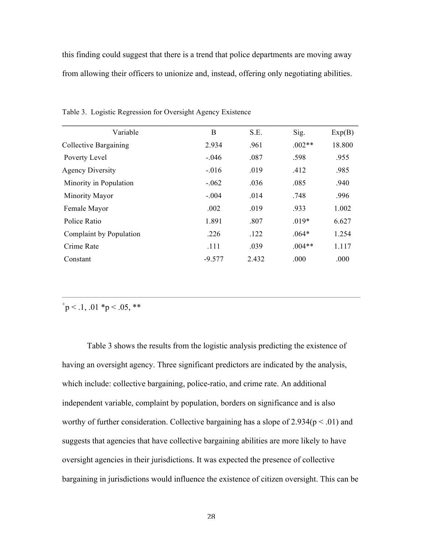this finding could suggest that there is a trend that police departments are moving away from allowing their officers to unionize and, instead, offering only negotiating abilities.

| B        | S.E.  | Sig.     | Exp(B) |
|----------|-------|----------|--------|
| 2.934    | .961  | $.002**$ | 18.800 |
| $-.046$  | .087  | .598     | .955   |
| $-.016$  | .019  | .412     | .985   |
| $-.062$  | .036  | .085     | .940   |
| $-.004$  | .014  | .748     | .996   |
| .002     | .019  | .933     | 1.002  |
| 1.891    | .807  | $.019*$  | 6.627  |
| .226     | .122  | $.064*$  | 1.254  |
| .111     | .039  | $.004**$ | 1.117  |
| $-9.577$ | 2.432 | .000     | .000   |
|          |       |          |        |

 $\mathcal{L}_\mathcal{L} = \{ \mathcal{L}_\mathcal{L} = \{ \mathcal{L}_\mathcal{L} = \{ \mathcal{L}_\mathcal{L} = \{ \mathcal{L}_\mathcal{L} = \{ \mathcal{L}_\mathcal{L} = \{ \mathcal{L}_\mathcal{L} = \{ \mathcal{L}_\mathcal{L} = \{ \mathcal{L}_\mathcal{L} = \{ \mathcal{L}_\mathcal{L} = \{ \mathcal{L}_\mathcal{L} = \{ \mathcal{L}_\mathcal{L} = \{ \mathcal{L}_\mathcal{L} = \{ \mathcal{L}_\mathcal{L} = \{ \mathcal{L}_\mathcal{$ 

Table 3. Logistic Regression for Oversight Agency Existence

 $p < 1, .01 \cdot p < 0.05$ , \*\*

Table 3 shows the results from the logistic analysis predicting the existence of having an oversight agency. Three significant predictors are indicated by the analysis, which include: collective bargaining, police-ratio, and crime rate. An additional independent variable, complaint by population, borders on significance and is also worthy of further consideration. Collective bargaining has a slope of  $2.934(p < .01)$  and suggests that agencies that have collective bargaining abilities are more likely to have oversight agencies in their jurisdictions. It was expected the presence of collective bargaining in jurisdictions would influence the existence of citizen oversight. This can be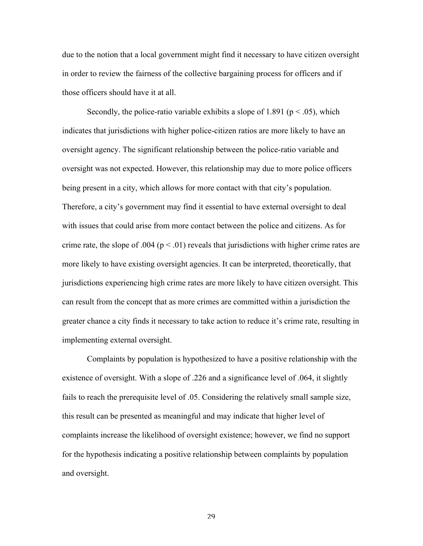due to the notion that a local government might find it necessary to have citizen oversight in order to review the fairness of the collective bargaining process for officers and if those officers should have it at all.

Secondly, the police-ratio variable exhibits a slope of 1.891 ( $p < .05$ ), which indicates that jurisdictions with higher police-citizen ratios are more likely to have an oversight agency. The significant relationship between the police-ratio variable and oversight was not expected. However, this relationship may due to more police officers being present in a city, which allows for more contact with that city's population. Therefore, a city's government may find it essential to have external oversight to deal with issues that could arise from more contact between the police and citizens. As for crime rate, the slope of .004 ( $p < .01$ ) reveals that jurisdictions with higher crime rates are more likely to have existing oversight agencies. It can be interpreted, theoretically, that jurisdictions experiencing high crime rates are more likely to have citizen oversight. This can result from the concept that as more crimes are committed within a jurisdiction the greater chance a city finds it necessary to take action to reduce it's crime rate, resulting in implementing external oversight.

Complaints by population is hypothesized to have a positive relationship with the existence of oversight. With a slope of .226 and a significance level of .064, it slightly fails to reach the prerequisite level of .05. Considering the relatively small sample size, this result can be presented as meaningful and may indicate that higher level of complaints increase the likelihood of oversight existence; however, we find no support for the hypothesis indicating a positive relationship between complaints by population and oversight.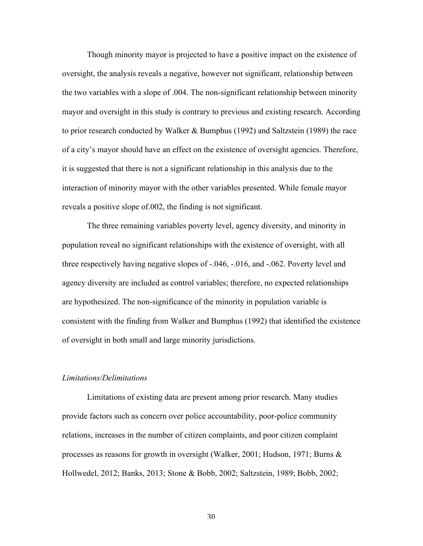Though minority mayor is projected to have a positive impact on the existence of oversight, the analysis reveals a negative, however not significant, relationship between the two variables with a slope of .004. The non-significant relationship between minority mayor and oversight in this study is contrary to previous and existing research. According to prior research conducted by Walker & Bumphus (1992) and Saltzstein (1989) the race of a city's mayor should have an effect on the existence of oversight agencies. Therefore, it is suggested that there is not a significant relationship in this analysis due to the interaction of minority mayor with the other variables presented. While female mayor reveals a positive slope of.002, the finding is not significant.

The three remaining variables poverty level, agency diversity, and minority in population reveal no significant relationships with the existence of oversight, with all three respectively having negative slopes of -.046, -.016, and -.062. Poverty level and agency diversity are included as control variables; therefore, no expected relationships are hypothesized. The non-significance of the minority in population variable is consistent with the finding from Walker and Bumphus (1992) that identified the existence of oversight in both small and large minority jurisdictions.

## *Limitations/Delimitations*

Limitations of existing data are present among prior research. Many studies provide factors such as concern over police accountability, poor-police community relations, increases in the number of citizen complaints, and poor citizen complaint processes as reasons for growth in oversight (Walker, 2001; Hudson, 1971; Burns & Hollwedel, 2012; Banks, 2013; Stone & Bobb, 2002; Saltzstein, 1989; Bobb, 2002;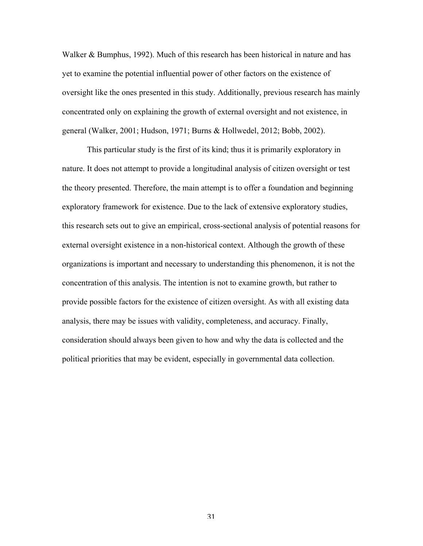Walker & Bumphus, 1992). Much of this research has been historical in nature and has yet to examine the potential influential power of other factors on the existence of oversight like the ones presented in this study. Additionally, previous research has mainly concentrated only on explaining the growth of external oversight and not existence, in general (Walker, 2001; Hudson, 1971; Burns & Hollwedel, 2012; Bobb, 2002).

This particular study is the first of its kind; thus it is primarily exploratory in nature. It does not attempt to provide a longitudinal analysis of citizen oversight or test the theory presented. Therefore, the main attempt is to offer a foundation and beginning exploratory framework for existence. Due to the lack of extensive exploratory studies, this research sets out to give an empirical, cross-sectional analysis of potential reasons for external oversight existence in a non-historical context. Although the growth of these organizations is important and necessary to understanding this phenomenon, it is not the concentration of this analysis. The intention is not to examine growth, but rather to provide possible factors for the existence of citizen oversight. As with all existing data analysis, there may be issues with validity, completeness, and accuracy. Finally, consideration should always been given to how and why the data is collected and the political priorities that may be evident, especially in governmental data collection.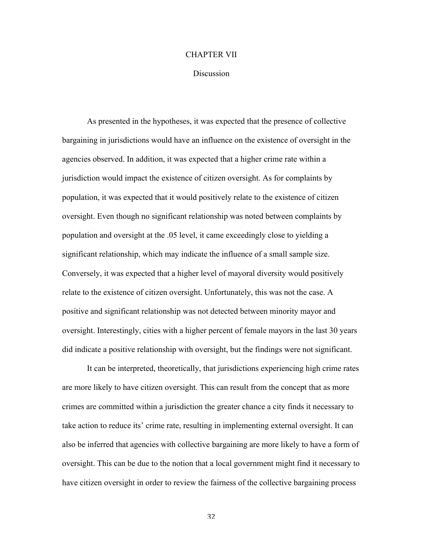## CHAPTER VII

#### Discussion

As presented in the hypotheses, it was expected that the presence of collective bargaining in jurisdictions would have an influence on the existence of oversight in the agencies observed. In addition, it was expected that a higher crime rate within a jurisdiction would impact the existence of citizen oversight. As for complaints by population, it was expected that it would positively relate to the existence of citizen oversight. Even though no significant relationship was noted between complaints by population and oversight at the .05 level, it came exceedingly close to yielding a significant relationship, which may indicate the influence of a small sample size. Conversely, it was expected that a higher level of mayoral diversity would positively relate to the existence of citizen oversight. Unfortunately, this was not the case. A positive and significant relationship was not detected between minority mayor and oversight. Interestingly, cities with a higher percent of female mayors in the last 30 years did indicate a positive relationship with oversight, but the findings were not significant.

It can be interpreted, theoretically, that jurisdictions experiencing high crime rates are more likely to have citizen oversight. This can result from the concept that as more crimes are committed within a jurisdiction the greater chance a city finds it necessary to take action to reduce its' crime rate, resulting in implementing external oversight. It can also be inferred that agencies with collective bargaining are more likely to have a form of oversight. This can be due to the notion that a local government might find it necessary to have citizen oversight in order to review the fairness of the collective bargaining process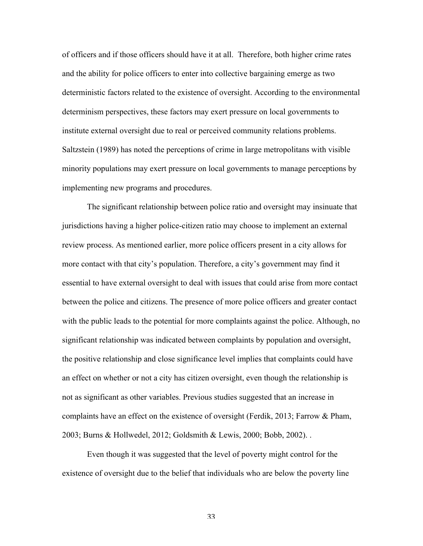of officers and if those officers should have it at all. Therefore, both higher crime rates and the ability for police officers to enter into collective bargaining emerge as two deterministic factors related to the existence of oversight. According to the environmental determinism perspectives, these factors may exert pressure on local governments to institute external oversight due to real or perceived community relations problems. Saltzstein (1989) has noted the perceptions of crime in large metropolitans with visible minority populations may exert pressure on local governments to manage perceptions by implementing new programs and procedures.

The significant relationship between police ratio and oversight may insinuate that jurisdictions having a higher police-citizen ratio may choose to implement an external review process. As mentioned earlier, more police officers present in a city allows for more contact with that city's population. Therefore, a city's government may find it essential to have external oversight to deal with issues that could arise from more contact between the police and citizens. The presence of more police officers and greater contact with the public leads to the potential for more complaints against the police. Although, no significant relationship was indicated between complaints by population and oversight, the positive relationship and close significance level implies that complaints could have an effect on whether or not a city has citizen oversight, even though the relationship is not as significant as other variables. Previous studies suggested that an increase in complaints have an effect on the existence of oversight (Ferdik, 2013; Farrow & Pham, 2003; Burns & Hollwedel, 2012; Goldsmith & Lewis, 2000; Bobb, 2002). .

Even though it was suggested that the level of poverty might control for the existence of oversight due to the belief that individuals who are below the poverty line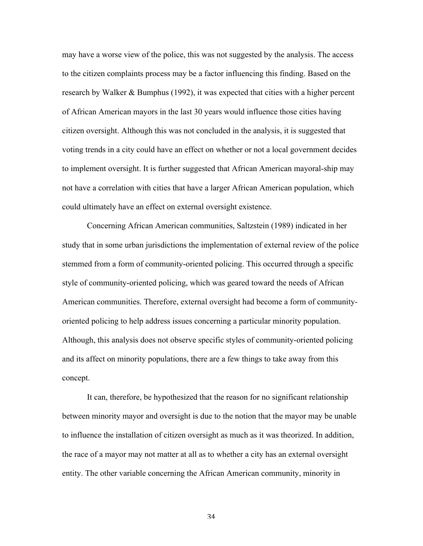may have a worse view of the police, this was not suggested by the analysis. The access to the citizen complaints process may be a factor influencing this finding. Based on the research by Walker & Bumphus (1992), it was expected that cities with a higher percent of African American mayors in the last 30 years would influence those cities having citizen oversight. Although this was not concluded in the analysis, it is suggested that voting trends in a city could have an effect on whether or not a local government decides to implement oversight. It is further suggested that African American mayoral-ship may not have a correlation with cities that have a larger African American population, which could ultimately have an effect on external oversight existence.

Concerning African American communities, Saltzstein (1989) indicated in her study that in some urban jurisdictions the implementation of external review of the police stemmed from a form of community-oriented policing. This occurred through a specific style of community-oriented policing, which was geared toward the needs of African American communities. Therefore, external oversight had become a form of communityoriented policing to help address issues concerning a particular minority population. Although, this analysis does not observe specific styles of community-oriented policing and its affect on minority populations, there are a few things to take away from this concept.

It can, therefore, be hypothesized that the reason for no significant relationship between minority mayor and oversight is due to the notion that the mayor may be unable to influence the installation of citizen oversight as much as it was theorized. In addition, the race of a mayor may not matter at all as to whether a city has an external oversight entity. The other variable concerning the African American community, minority in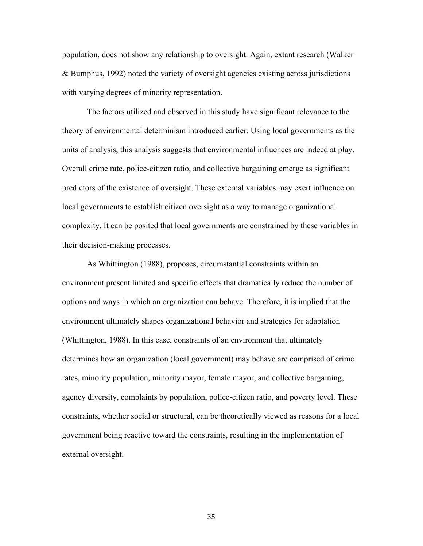population, does not show any relationship to oversight. Again, extant research (Walker & Bumphus, 1992) noted the variety of oversight agencies existing across jurisdictions with varying degrees of minority representation.

The factors utilized and observed in this study have significant relevance to the theory of environmental determinism introduced earlier. Using local governments as the units of analysis, this analysis suggests that environmental influences are indeed at play. Overall crime rate, police-citizen ratio, and collective bargaining emerge as significant predictors of the existence of oversight. These external variables may exert influence on local governments to establish citizen oversight as a way to manage organizational complexity. It can be posited that local governments are constrained by these variables in their decision-making processes.

As Whittington (1988), proposes, circumstantial constraints within an environment present limited and specific effects that dramatically reduce the number of options and ways in which an organization can behave. Therefore, it is implied that the environment ultimately shapes organizational behavior and strategies for adaptation (Whittington, 1988). In this case, constraints of an environment that ultimately determines how an organization (local government) may behave are comprised of crime rates, minority population, minority mayor, female mayor, and collective bargaining, agency diversity, complaints by population, police-citizen ratio, and poverty level. These constraints, whether social or structural, can be theoretically viewed as reasons for a local government being reactive toward the constraints, resulting in the implementation of external oversight.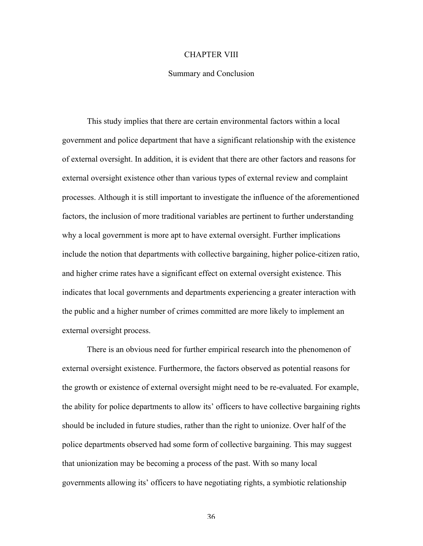## CHAPTER VIII

### Summary and Conclusion

This study implies that there are certain environmental factors within a local government and police department that have a significant relationship with the existence of external oversight. In addition, it is evident that there are other factors and reasons for external oversight existence other than various types of external review and complaint processes. Although it is still important to investigate the influence of the aforementioned factors, the inclusion of more traditional variables are pertinent to further understanding why a local government is more apt to have external oversight. Further implications include the notion that departments with collective bargaining, higher police-citizen ratio, and higher crime rates have a significant effect on external oversight existence. This indicates that local governments and departments experiencing a greater interaction with the public and a higher number of crimes committed are more likely to implement an external oversight process.

There is an obvious need for further empirical research into the phenomenon of external oversight existence. Furthermore, the factors observed as potential reasons for the growth or existence of external oversight might need to be re-evaluated. For example, the ability for police departments to allow its' officers to have collective bargaining rights should be included in future studies, rather than the right to unionize. Over half of the police departments observed had some form of collective bargaining. This may suggest that unionization may be becoming a process of the past. With so many local governments allowing its' officers to have negotiating rights, a symbiotic relationship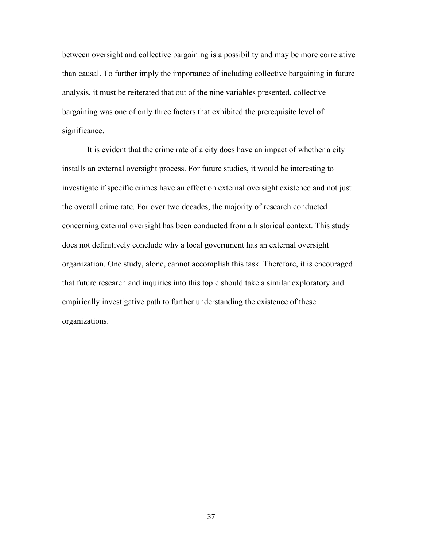between oversight and collective bargaining is a possibility and may be more correlative than causal. To further imply the importance of including collective bargaining in future analysis, it must be reiterated that out of the nine variables presented, collective bargaining was one of only three factors that exhibited the prerequisite level of significance.

It is evident that the crime rate of a city does have an impact of whether a city installs an external oversight process. For future studies, it would be interesting to investigate if specific crimes have an effect on external oversight existence and not just the overall crime rate. For over two decades, the majority of research conducted concerning external oversight has been conducted from a historical context. This study does not definitively conclude why a local government has an external oversight organization. One study, alone, cannot accomplish this task. Therefore, it is encouraged that future research and inquiries into this topic should take a similar exploratory and empirically investigative path to further understanding the existence of these organizations.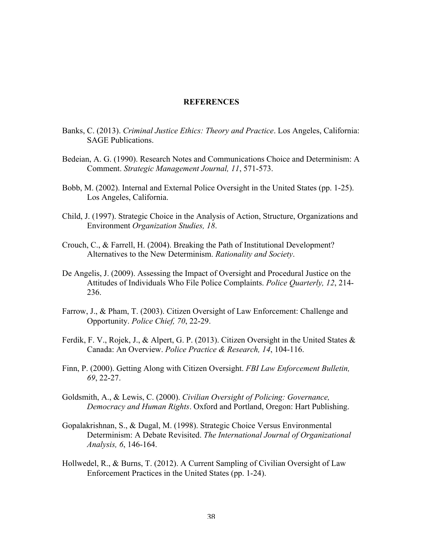## **REFERENCES**

- Banks, C. (2013). *Criminal Justice Ethics: Theory and Practice*. Los Angeles, California: SAGE Publications.
- Bedeian, A. G. (1990). Research Notes and Communications Choice and Determinism: A Comment. *Strategic Management Journal, 11*, 571-573.
- Bobb, M. (2002). Internal and External Police Oversight in the United States (pp. 1-25). Los Angeles, California.
- Child, J. (1997). Strategic Choice in the Analysis of Action, Structure, Organizations and Environment *Organization Studies, 18*.
- Crouch, C., & Farrell, H. (2004). Breaking the Path of Institutional Development? Alternatives to the New Determinism. *Rationality and Society*.
- De Angelis, J. (2009). Assessing the Impact of Oversight and Procedural Justice on the Attitudes of Individuals Who File Police Complaints. *Police Quarterly, 12*, 214- 236.
- Farrow, J., & Pham, T. (2003). Citizen Oversight of Law Enforcement: Challenge and Opportunity. *Police Chief, 70*, 22-29.
- Ferdik, F. V., Rojek, J., & Alpert, G. P. (2013). Citizen Oversight in the United States & Canada: An Overview. *Police Practice & Research, 14*, 104-116.
- Finn, P. (2000). Getting Along with Citizen Oversight. *FBI Law Enforcement Bulletin, 69*, 22-27.
- Goldsmith, A., & Lewis, C. (2000). *Civilian Oversight of Policing: Governance, Democracy and Human Rights*. Oxford and Portland, Oregon: Hart Publishing.
- Gopalakrishnan, S., & Dugal, M. (1998). Strategic Choice Versus Environmental Determinism: A Debate Revisited. *The International Journal of Organizational Analysis, 6*, 146-164.
- Hollwedel, R., & Burns, T. (2012). A Current Sampling of Civilian Oversight of Law Enforcement Practices in the United States (pp. 1-24).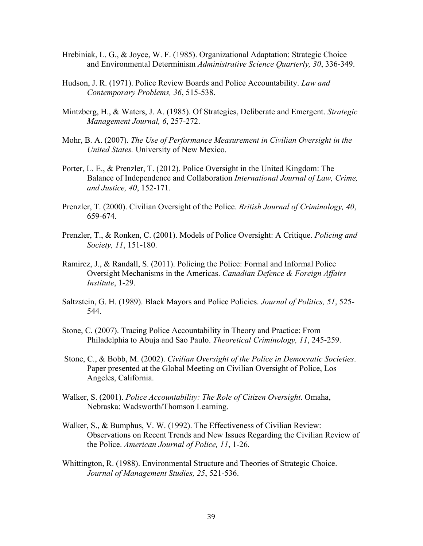- Hrebiniak, L. G., & Joyce, W. F. (1985). Organizational Adaptation: Strategic Choice and Environmental Determinism *Administrative Science Quarterly, 30*, 336-349.
- Hudson, J. R. (1971). Police Review Boards and Police Accountability. *Law and Contemporary Problems, 36*, 515-538.
- Mintzberg, H., & Waters, J. A. (1985). Of Strategies, Deliberate and Emergent. *Strategic Management Journal, 6*, 257-272.
- Mohr, B. A. (2007). *The Use of Performance Measurement in Civilian Oversight in the United States.* University of New Mexico.
- Porter, L. E., & Prenzler, T. (2012). Police Oversight in the United Kingdom: The Balance of Independence and Collaboration *International Journal of Law, Crime, and Justice, 40*, 152-171.
- Prenzler, T. (2000). Civilian Oversight of the Police. *British Journal of Criminology, 40*, 659-674.
- Prenzler, T., & Ronken, C. (2001). Models of Police Oversight: A Critique. *Policing and Society, 11*, 151-180.
- Ramirez, J., & Randall, S. (2011). Policing the Police: Formal and Informal Police Oversight Mechanisms in the Americas. *Canadian Defence & Foreign Affairs Institute*, 1-29.
- Saltzstein, G. H. (1989). Black Mayors and Police Policies. *Journal of Politics, 51*, 525- 544.
- Stone, C. (2007). Tracing Police Accountability in Theory and Practice: From Philadelphia to Abuja and Sao Paulo. *Theoretical Criminology, 11*, 245-259.
- Stone, C., & Bobb, M. (2002). *Civilian Oversight of the Police in Democratic Societies*. Paper presented at the Global Meeting on Civilian Oversight of Police, Los Angeles, California.
- Walker, S. (2001). *Police Accountability: The Role of Citizen Oversight*. Omaha, Nebraska: Wadsworth/Thomson Learning.
- Walker, S., & Bumphus, V. W. (1992). The Effectiveness of Civilian Review: Observations on Recent Trends and New Issues Regarding the Civilian Review of the Police. *American Journal of Police, 11*, 1-26.
- Whittington, R. (1988). Environmental Structure and Theories of Strategic Choice. *Journal of Management Studies, 25*, 521-536.